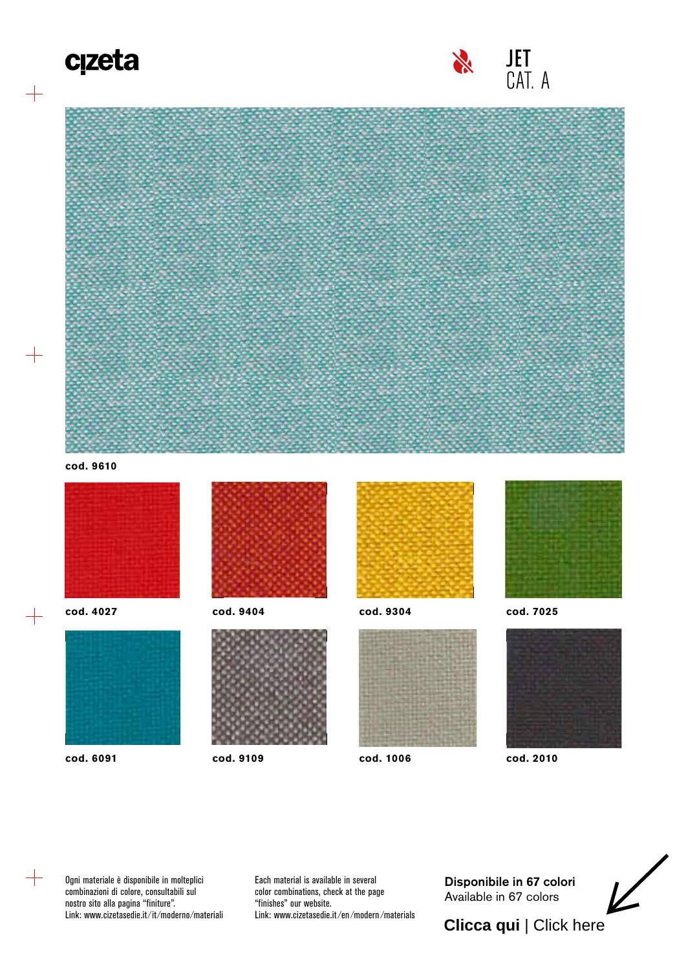## c<sub>izeta</sub>

 $+$ 





**cod. 9610**



**cod. 4027**

 $+$ 



**cod. 6091**



**cod. 9404**



**cod. 9109**



**cod. 9304**



**cod. 1006**



**cod. 7025**



**cod. 2010**

Ogni materiale è disponibile in molteplici combinazioni di colore, consultabili sul nostro sito alla pagina "finiture". Link: www.cizetasedie.it ⁄ it ⁄moderno ⁄materiali Each material is available in several color combinations, check at the page "finishes" our website. Link: www.cizetasedie.it ⁄en ⁄modern ⁄materials [Disponibile in 67 colori](https://www.fidivi.com/en/fabrics/fabrics-catalogue/jet) Available in 67 colors

## **Clicca qui** | Click here